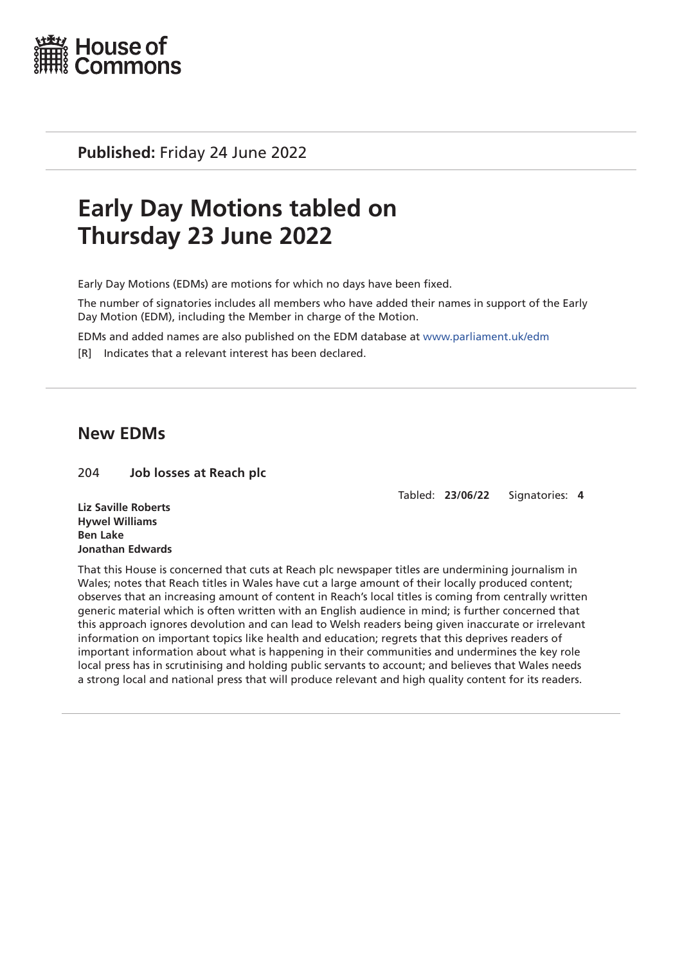

**Published:** Friday 24 June 2022

# **Early Day Motions tabled on Thursday 23 June 2022**

Early Day Motions (EDMs) are motions for which no days have been fixed.

The number of signatories includes all members who have added their names in support of the Early Day Motion (EDM), including the Member in charge of the Motion.

EDMs and added names are also published on the EDM database at [www.parliament.uk/edm](http://www.parliament.uk/edm)

[R] Indicates that a relevant interest has been declared.

## **New EDMs**

#### 204 **Job losses at Reach plc**

Tabled: **23/06/22** Signatories: **4**

**Liz Saville Roberts Hywel Williams Ben Lake Jonathan Edwards**

That this House is concerned that cuts at Reach plc newspaper titles are undermining journalism in Wales; notes that Reach titles in Wales have cut a large amount of their locally produced content; observes that an increasing amount of content in Reach's local titles is coming from centrally written generic material which is often written with an English audience in mind; is further concerned that this approach ignores devolution and can lead to Welsh readers being given inaccurate or irrelevant information on important topics like health and education; regrets that this deprives readers of important information about what is happening in their communities and undermines the key role local press has in scrutinising and holding public servants to account; and believes that Wales needs a strong local and national press that will produce relevant and high quality content for its readers.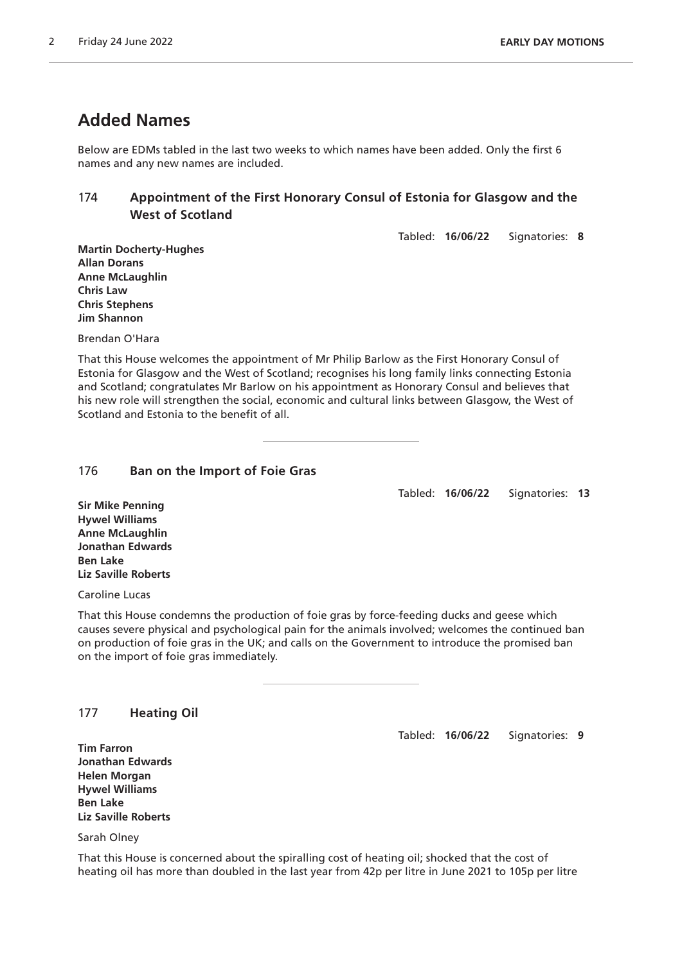# **Added Names**

Below are EDMs tabled in the last two weeks to which names have been added. Only the first 6 names and any new names are included.

### 174 **Appointment of the First Honorary Consul of Estonia for Glasgow and the West of Scotland**

Tabled: **16/06/22** Signatories: **8**

**Martin Docherty-Hughes Allan Dorans Anne McLaughlin Chris Law Chris Stephens Jim Shannon**

Brendan O'Hara

That this House welcomes the appointment of Mr Philip Barlow as the First Honorary Consul of Estonia for Glasgow and the West of Scotland; recognises his long family links connecting Estonia and Scotland; congratulates Mr Barlow on his appointment as Honorary Consul and believes that his new role will strengthen the social, economic and cultural links between Glasgow, the West of Scotland and Estonia to the benefit of all.

#### 176 **Ban on the Import of Foie Gras**

Tabled: **16/06/22** Signatories: **13**

**Sir Mike Penning Hywel Williams Anne McLaughlin Jonathan Edwards Ben Lake Liz Saville Roberts**

Caroline Lucas

That this House condemns the production of foie gras by force-feeding ducks and geese which causes severe physical and psychological pain for the animals involved; welcomes the continued ban on production of foie gras in the UK; and calls on the Government to introduce the promised ban on the import of foie gras immediately.

| 177 | <b>Heating Oil</b> |  |
|-----|--------------------|--|
|-----|--------------------|--|

Tabled: **16/06/22** Signatories: **9**

**Tim Farron Jonathan Edwards Helen Morgan Hywel Williams Ben Lake Liz Saville Roberts**

Sarah Olney

That this House is concerned about the spiralling cost of heating oil; shocked that the cost of heating oil has more than doubled in the last year from 42p per litre in June 2021 to 105p per litre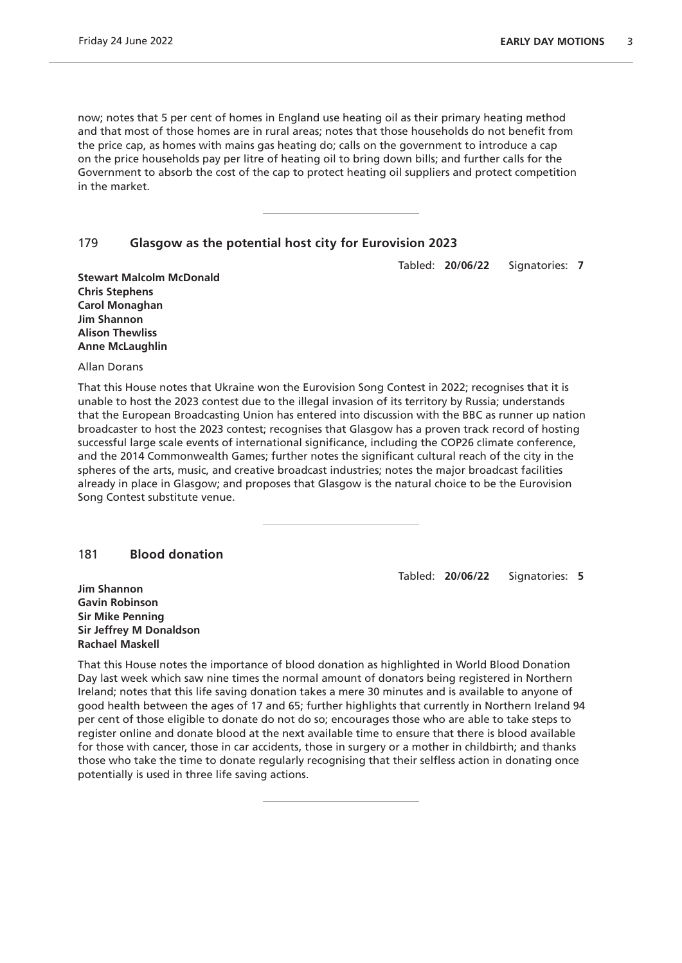now; notes that 5 per cent of homes in England use heating oil as their primary heating method and that most of those homes are in rural areas; notes that those households do not benefit from the price cap, as homes with mains gas heating do; calls on the government to introduce a cap on the price households pay per litre of heating oil to bring down bills; and further calls for the Government to absorb the cost of the cap to protect heating oil suppliers and protect competition in the market.

#### 179 **Glasgow as the potential host city for Eurovision 2023**

Tabled: **20/06/22** Signatories: **7**

**Stewart Malcolm McDonald Chris Stephens Carol Monaghan Jim Shannon Alison Thewliss Anne McLaughlin**

Allan Dorans

That this House notes that Ukraine won the Eurovision Song Contest in 2022; recognises that it is unable to host the 2023 contest due to the illegal invasion of its territory by Russia; understands that the European Broadcasting Union has entered into discussion with the BBC as runner up nation broadcaster to host the 2023 contest; recognises that Glasgow has a proven track record of hosting successful large scale events of international significance, including the COP26 climate conference, and the 2014 Commonwealth Games; further notes the significant cultural reach of the city in the spheres of the arts, music, and creative broadcast industries; notes the major broadcast facilities already in place in Glasgow; and proposes that Glasgow is the natural choice to be the Eurovision Song Contest substitute venue.

181 **Blood donation**

Tabled: **20/06/22** Signatories: **5**

**Jim Shannon Gavin Robinson Sir Mike Penning Sir Jeffrey M Donaldson Rachael Maskell**

That this House notes the importance of blood donation as highlighted in World Blood Donation Day last week which saw nine times the normal amount of donators being registered in Northern Ireland; notes that this life saving donation takes a mere 30 minutes and is available to anyone of good health between the ages of 17 and 65; further highlights that currently in Northern Ireland 94 per cent of those eligible to donate do not do so; encourages those who are able to take steps to register online and donate blood at the next available time to ensure that there is blood available for those with cancer, those in car accidents, those in surgery or a mother in childbirth; and thanks those who take the time to donate regularly recognising that their selfless action in donating once potentially is used in three life saving actions.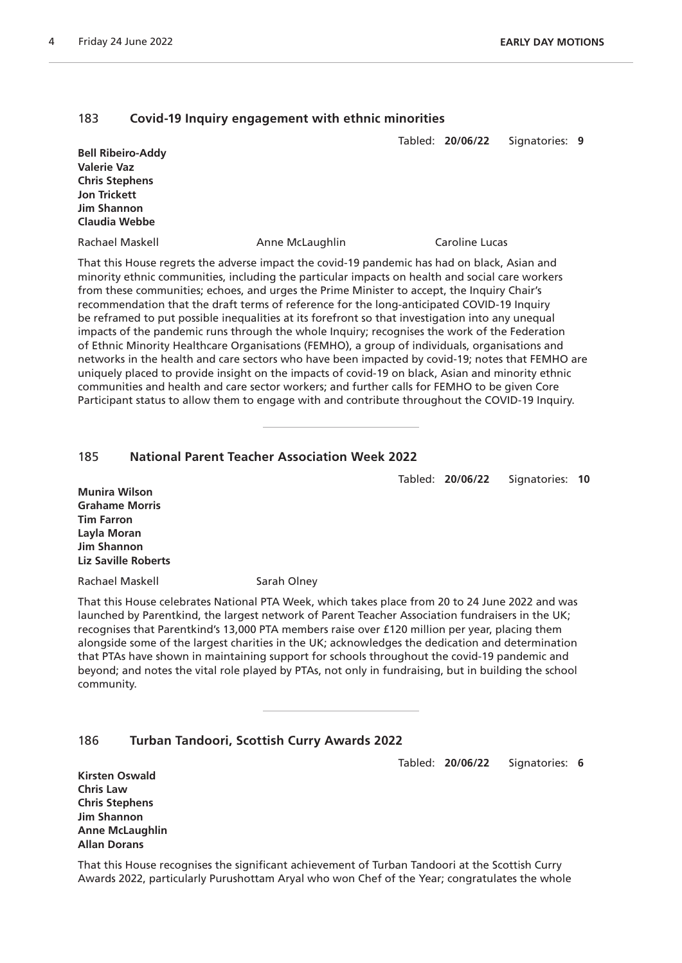#### 183 **Covid-19 Inquiry engagement with ethnic minorities**

| <b>Bell Ribeiro-Addy</b><br><b>Valerie Vaz</b><br><b>Chris Stephens</b> |                 | Tabled: 20/06/22 | Signatories: 9 |  |
|-------------------------------------------------------------------------|-----------------|------------------|----------------|--|
| <b>Jon Trickett</b><br><b>Jim Shannon</b><br>Claudia Webbe              |                 |                  |                |  |
| Rachael Maskell                                                         | Anne McLaughlin | Caroline Lucas   |                |  |

That this House regrets the adverse impact the covid-19 pandemic has had on black, Asian and minority ethnic communities, including the particular impacts on health and social care workers from these communities; echoes, and urges the Prime Minister to accept, the Inquiry Chair's recommendation that the draft terms of reference for the long-anticipated COVID-19 Inquiry be reframed to put possible inequalities at its forefront so that investigation into any unequal impacts of the pandemic runs through the whole Inquiry; recognises the work of the Federation of Ethnic Minority Healthcare Organisations (FEMHO), a group of individuals, organisations and networks in the health and care sectors who have been impacted by covid-19; notes that FEMHO are uniquely placed to provide insight on the impacts of covid-19 on black, Asian and minority ethnic communities and health and care sector workers; and further calls for FEMHO to be given Core Participant status to allow them to engage with and contribute throughout the COVID-19 Inquiry.

#### 185 **National Parent Teacher Association Week 2022**

Tabled: **20/06/22** Signatories: **10**

**Munira Wilson Grahame Morris Tim Farron Layla Moran Jim Shannon Liz Saville Roberts**

Rachael Maskell Sarah Olney

That this House celebrates National PTA Week, which takes place from 20 to 24 June 2022 and was launched by Parentkind, the largest network of Parent Teacher Association fundraisers in the UK; recognises that Parentkind's 13,000 PTA members raise over £120 million per year, placing them alongside some of the largest charities in the UK; acknowledges the dedication and determination that PTAs have shown in maintaining support for schools throughout the covid-19 pandemic and beyond; and notes the vital role played by PTAs, not only in fundraising, but in building the school community.

#### 186 **Turban Tandoori, Scottish Curry Awards 2022**

Tabled: **20/06/22** Signatories: **6**

**Kirsten Oswald Chris Law Chris Stephens Jim Shannon Anne McLaughlin Allan Dorans**

That this House recognises the significant achievement of Turban Tandoori at the Scottish Curry Awards 2022, particularly Purushottam Aryal who won Chef of the Year; congratulates the whole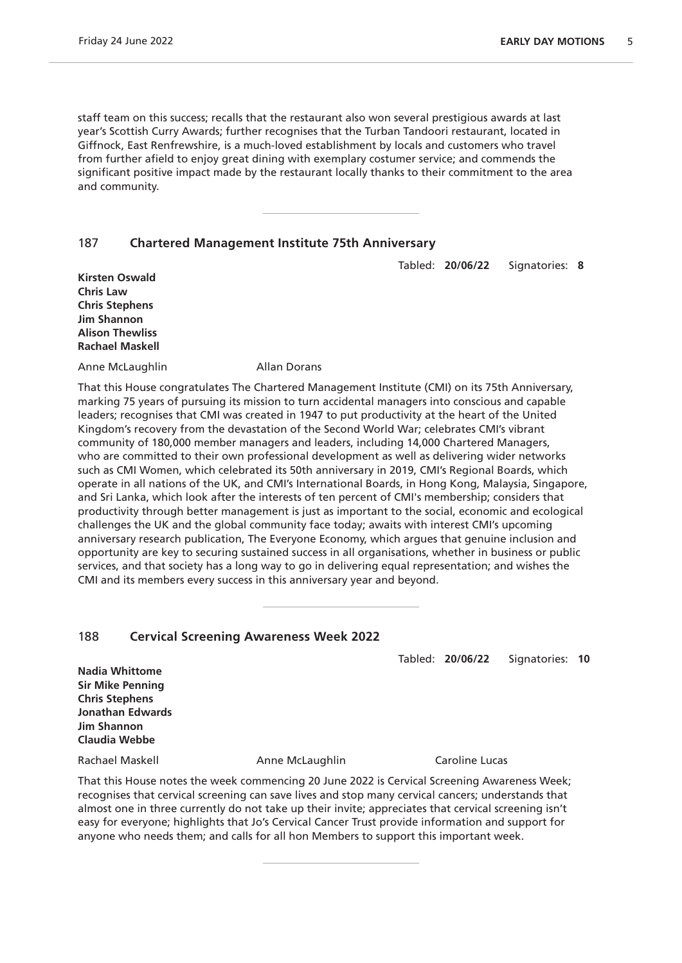staff team on this success; recalls that the restaurant also won several prestigious awards at last year's Scottish Curry Awards; further recognises that the Turban Tandoori restaurant, located in Giffnock, East Renfrewshire, is a much-loved establishment by locals and customers who travel from further afield to enjoy great dining with exemplary costumer service; and commends the significant positive impact made by the restaurant locally thanks to their commitment to the area and community.

#### 187 **Chartered Management Institute 75th Anniversary**

Tabled: **20/06/22** Signatories: **8**

**Kirsten Oswald Chris Law Chris Stephens Jim Shannon Alison Thewliss Rachael Maskell**

Anne McLaughlin Allan Dorans

That this House congratulates The Chartered Management Institute (CMI) on its 75th Anniversary, marking 75 years of pursuing its mission to turn accidental managers into conscious and capable leaders; recognises that CMI was created in 1947 to put productivity at the heart of the United Kingdom's recovery from the devastation of the Second World War; celebrates CMI's vibrant community of 180,000 member managers and leaders, including 14,000 Chartered Managers, who are committed to their own professional development as well as delivering wider networks such as CMI Women, which celebrated its 50th anniversary in 2019, CMI's Regional Boards, which operate in all nations of the UK, and CMI's International Boards, in Hong Kong, Malaysia, Singapore, and Sri Lanka, which look after the interests of ten percent of CMI's membership; considers that productivity through better management is just as important to the social, economic and ecological challenges the UK and the global community face today; awaits with interest CMI's upcoming anniversary research publication, The Everyone Economy, which argues that genuine inclusion and opportunity are key to securing sustained success in all organisations, whether in business or public services, and that society has a long way to go in delivering equal representation; and wishes the CMI and its members every success in this anniversary year and beyond.

#### 188 **Cervical Screening Awareness Week 2022**

Tabled: **20/06/22** Signatories: **10**

**Nadia Whittome Sir Mike Penning Chris Stephens Jonathan Edwards Jim Shannon Claudia Webbe**

Rachael Maskell Anne McLaughlin Caroline Lucas

That this House notes the week commencing 20 June 2022 is Cervical Screening Awareness Week; recognises that cervical screening can save lives and stop many cervical cancers; understands that almost one in three currently do not take up their invite; appreciates that cervical screening isn't easy for everyone; highlights that Jo's Cervical Cancer Trust provide information and support for anyone who needs them; and calls for all hon Members to support this important week.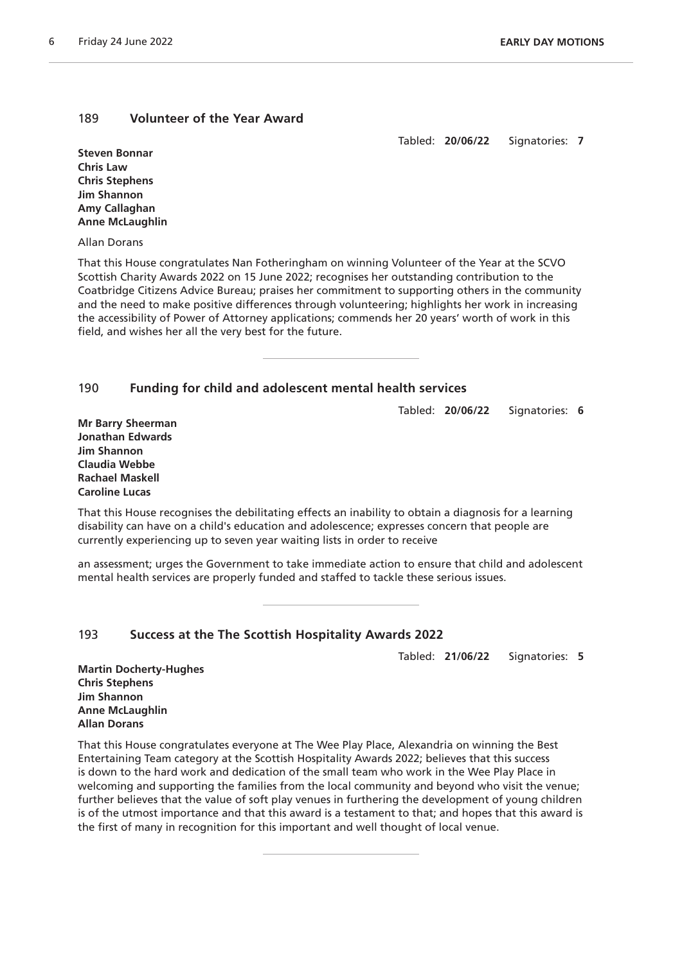#### 189 **Volunteer of the Year Award**

Tabled: **20/06/22** Signatories: **7**

**Steven Bonnar Chris Law Chris Stephens Jim Shannon Amy Callaghan Anne McLaughlin**

Allan Dorans

That this House congratulates Nan Fotheringham on winning Volunteer of the Year at the SCVO Scottish Charity Awards 2022 on 15 June 2022; recognises her outstanding contribution to the Coatbridge Citizens Advice Bureau; praises her commitment to supporting others in the community and the need to make positive differences through volunteering; highlights her work in increasing the accessibility of Power of Attorney applications; commends her 20 years' worth of work in this field, and wishes her all the very best for the future.

#### 190 **Funding for child and adolescent mental health services**

Tabled: **20/06/22** Signatories: **6**

**Mr Barry Sheerman Jonathan Edwards Jim Shannon Claudia Webbe Rachael Maskell Caroline Lucas**

That this House recognises the debilitating effects an inability to obtain a diagnosis for a learning disability can have on a child's education and adolescence; expresses concern that people are currently experiencing up to seven year waiting lists in order to receive

an assessment; urges the Government to take immediate action to ensure that child and adolescent mental health services are properly funded and staffed to tackle these serious issues.

#### 193 **Success at the The Scottish Hospitality Awards 2022**

Tabled: **21/06/22** Signatories: **5**

**Martin Docherty-Hughes Chris Stephens Jim Shannon Anne McLaughlin Allan Dorans**

That this House congratulates everyone at The Wee Play Place, Alexandria on winning the Best Entertaining Team category at the Scottish Hospitality Awards 2022; believes that this success is down to the hard work and dedication of the small team who work in the Wee Play Place in welcoming and supporting the families from the local community and beyond who visit the venue; further believes that the value of soft play venues in furthering the development of young children is of the utmost importance and that this award is a testament to that; and hopes that this award is the first of many in recognition for this important and well thought of local venue.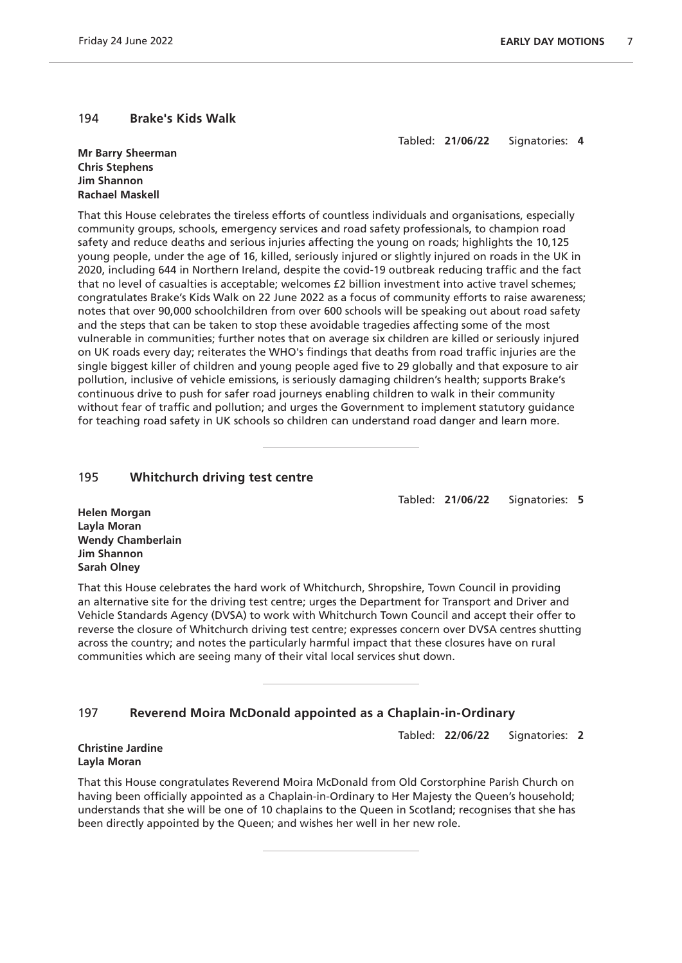#### 194 **Brake's Kids Walk**

Tabled: **21/06/22** Signatories: **4**

**Mr Barry Sheerman Chris Stephens Jim Shannon Rachael Maskell**

That this House celebrates the tireless efforts of countless individuals and organisations, especially community groups, schools, emergency services and road safety professionals, to champion road safety and reduce deaths and serious injuries affecting the young on roads; highlights the 10,125 young people, under the age of 16, killed, seriously injured or slightly injured on roads in the UK in 2020, including 644 in Northern Ireland, despite the covid-19 outbreak reducing traffic and the fact that no level of casualties is acceptable; welcomes £2 billion investment into active travel schemes; congratulates Brake's Kids Walk on 22 June 2022 as a focus of community efforts to raise awareness; notes that over 90,000 schoolchildren from over 600 schools will be speaking out about road safety and the steps that can be taken to stop these avoidable tragedies affecting some of the most vulnerable in communities; further notes that on average six children are killed or seriously injured on UK roads every day; reiterates the WHO's findings that deaths from road traffic injuries are the single biggest killer of children and young people aged five to 29 globally and that exposure to air pollution, inclusive of vehicle emissions, is seriously damaging children's health; supports Brake's continuous drive to push for safer road journeys enabling children to walk in their community without fear of traffic and pollution; and urges the Government to implement statutory guidance for teaching road safety in UK schools so children can understand road danger and learn more.

#### 195 **Whitchurch driving test centre**

Tabled: **21/06/22** Signatories: **5**

**Helen Morgan Layla Moran Wendy Chamberlain Jim Shannon Sarah Olney**

That this House celebrates the hard work of Whitchurch, Shropshire, Town Council in providing an alternative site for the driving test centre; urges the Department for Transport and Driver and Vehicle Standards Agency (DVSA) to work with Whitchurch Town Council and accept their offer to reverse the closure of Whitchurch driving test centre; expresses concern over DVSA centres shutting across the country; and notes the particularly harmful impact that these closures have on rural communities which are seeing many of their vital local services shut down.

### 197 **Reverend Moira McDonald appointed as a Chaplain-in-Ordinary**

Tabled: **22/06/22** Signatories: **2**

#### **Christine Jardine Layla Moran**

That this House congratulates Reverend Moira McDonald from Old Corstorphine Parish Church on having been officially appointed as a Chaplain-in-Ordinary to Her Majesty the Queen's household; understands that she will be one of 10 chaplains to the Queen in Scotland; recognises that she has been directly appointed by the Queen; and wishes her well in her new role.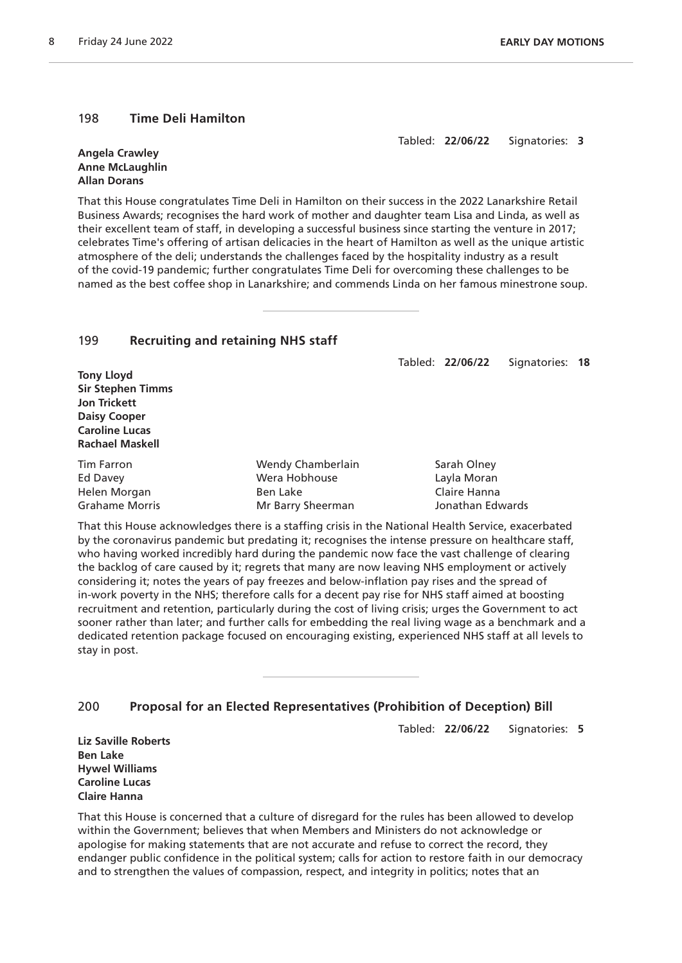#### 198 **Time Deli Hamilton**

Tabled: **22/06/22** Signatories: **3**

#### **Angela Crawley Anne McLaughlin Allan Dorans**

That this House congratulates Time Deli in Hamilton on their success in the 2022 Lanarkshire Retail Business Awards; recognises the hard work of mother and daughter team Lisa and Linda, as well as their excellent team of staff, in developing a successful business since starting the venture in 2017; celebrates Time's offering of artisan delicacies in the heart of Hamilton as well as the unique artistic atmosphere of the deli; understands the challenges faced by the hospitality industry as a result of the covid-19 pandemic; further congratulates Time Deli for overcoming these challenges to be named as the best coffee shop in Lanarkshire; and commends Linda on her famous minestrone soup.

#### 199 **Recruiting and retaining NHS staff**

Tabled: **22/06/22** Signatories: **18**

**Tony Lloyd Sir Stephen Timms Jon Trickett Daisy Cooper Caroline Lucas Rachael Maskell**

| Tim Farron     | Wendy Chamberlain | Sarah Olney      |
|----------------|-------------------|------------------|
| Ed Davey       | Wera Hobhouse     | Layla Moran      |
| Helen Morgan   | Ben Lake          | Claire Hanna     |
| Grahame Morris | Mr Barry Sheerman | Jonathan Edwards |

That this House acknowledges there is a staffing crisis in the National Health Service, exacerbated by the coronavirus pandemic but predating it; recognises the intense pressure on healthcare staff, who having worked incredibly hard during the pandemic now face the vast challenge of clearing the backlog of care caused by it; regrets that many are now leaving NHS employment or actively considering it; notes the years of pay freezes and below-inflation pay rises and the spread of in-work poverty in the NHS; therefore calls for a decent pay rise for NHS staff aimed at boosting recruitment and retention, particularly during the cost of living crisis; urges the Government to act sooner rather than later; and further calls for embedding the real living wage as a benchmark and a dedicated retention package focused on encouraging existing, experienced NHS staff at all levels to stay in post.

### 200 **Proposal for an Elected Representatives (Prohibition of Deception) Bill**

Tabled: **22/06/22** Signatories: **5**

**Liz Saville Roberts Ben Lake Hywel Williams Caroline Lucas Claire Hanna**

That this House is concerned that a culture of disregard for the rules has been allowed to develop within the Government; believes that when Members and Ministers do not acknowledge or apologise for making statements that are not accurate and refuse to correct the record, they endanger public confidence in the political system; calls for action to restore faith in our democracy and to strengthen the values of compassion, respect, and integrity in politics; notes that an